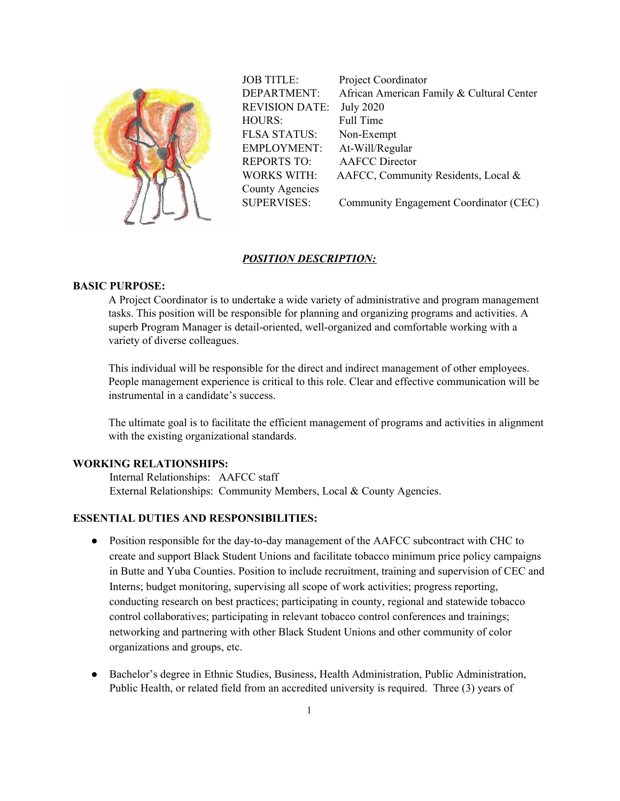

JOB TITLE: Project Coordinator DEPARTMENT: African American Family & Cultural Center REVISION DATE: July 2020 HOURS: Full Time FLSA STATUS: Non-Exempt EMPLOYMENT: At-Will/Regular REPORTS TO: AAFCC Director WORKS WITH: AAFCC, Community Residents, Local & County Agencies SUPERVISES: Community Engagement Coordinator (CEC)

#### *POSITION DESCRIPTION:*

## **BASIC PURPOSE:**

A Project Coordinator is to undertake a wide variety of administrative and program management tasks. This position will be responsible for planning and organizing programs and activities. A superb Program Manager is detail-oriented, well-organized and comfortable working with a variety of diverse colleagues.

This individual will be responsible for the direct and indirect management of other employees. People management experience is critical to this role. Clear and effective communication will be instrumental in a candidate's success.

The ultimate goal is to facilitate the efficient management of programs and activities in alignment with the existing organizational standards.

## **WORKING RELATIONSHIPS:**

Internal Relationships: AAFCC staff External Relationships: Community Members, Local & County Agencies.

## **ESSENTIAL DUTIES AND RESPONSIBILITIES:**

- Position responsible for the day-to-day management of the AAFCC subcontract with CHC to create and support Black Student Unions and facilitate tobacco minimum price policy campaigns in Butte and Yuba Counties. Position to include recruitment, training and supervision of CEC and Interns; budget monitoring, supervising all scope of work activities; progress reporting, conducting research on best practices; participating in county, regional and statewide tobacco control collaboratives; participating in relevant tobacco control conferences and trainings; networking and partnering with other Black Student Unions and other community of color organizations and groups, etc.
- Bachelor's degree in Ethnic Studies, Business, Health Administration, Public Administration, Public Health, or related field from an accredited university is required. Three (3) years of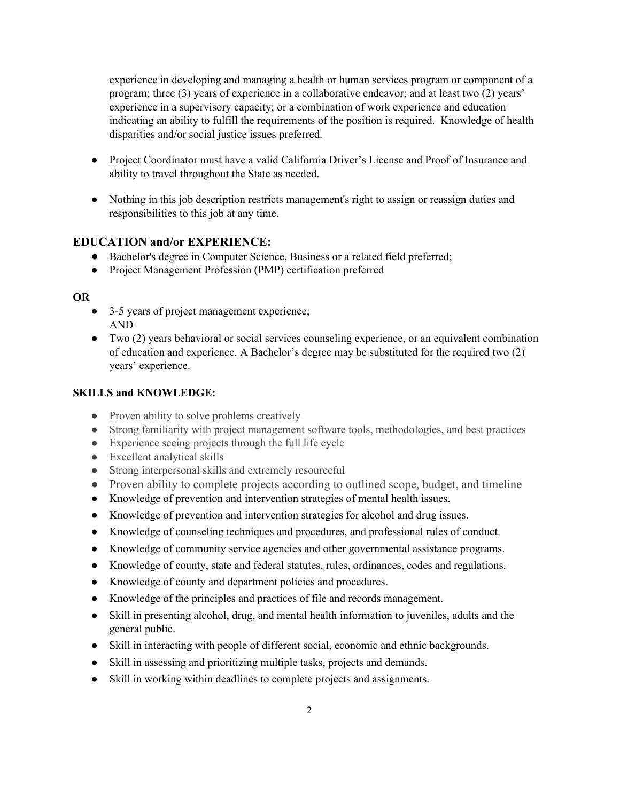experience in developing and managing a health or human services program or component of a program; three (3) years of experience in a collaborative endeavor; and at least two (2) years' experience in a supervisory capacity; or a combination of work experience and education indicating an ability to fulfill the requirements of the position is required. Knowledge of health disparities and/or social justice issues preferred.

- Project Coordinator must have a valid California Driver's License and Proof of Insurance and ability to travel throughout the State as needed.
- Nothing in this job description restricts management's right to assign or reassign duties and responsibilities to this job at any time.

# **EDUCATION and/or EXPERIENCE:**

- Bachelor's degree in Computer Science, Business or a related field preferred;
- Project Management Profession (PMP) certification preferred

#### **OR**

- 3-5 years of project management experience; AND
- Two (2) years behavioral or social services counseling experience, or an equivalent combination of education and experience. A Bachelor's degree may be substituted for the required two (2) years' experience.

#### **SKILLS and KNOWLEDGE:**

- Proven ability to solve problems creatively
- Strong familiarity with project management software tools, methodologies, and best practices
- Experience seeing projects through the full life cycle
- Excellent analytical skills
- Strong interpersonal skills and extremely resourceful
- Proven ability to complete projects according to outlined scope, budget, and timeline
- Knowledge of prevention and intervention strategies of mental health issues.
- Knowledge of prevention and intervention strategies for alcohol and drug issues.
- Knowledge of counseling techniques and procedures, and professional rules of conduct.
- Knowledge of community service agencies and other governmental assistance programs.
- Knowledge of county, state and federal statutes, rules, ordinances, codes and regulations.
- Knowledge of county and department policies and procedures.
- Knowledge of the principles and practices of file and records management.
- Skill in presenting alcohol, drug, and mental health information to juveniles, adults and the general public.
- Skill in interacting with people of different social, economic and ethnic backgrounds.
- Skill in assessing and prioritizing multiple tasks, projects and demands.
- Skill in working within deadlines to complete projects and assignments.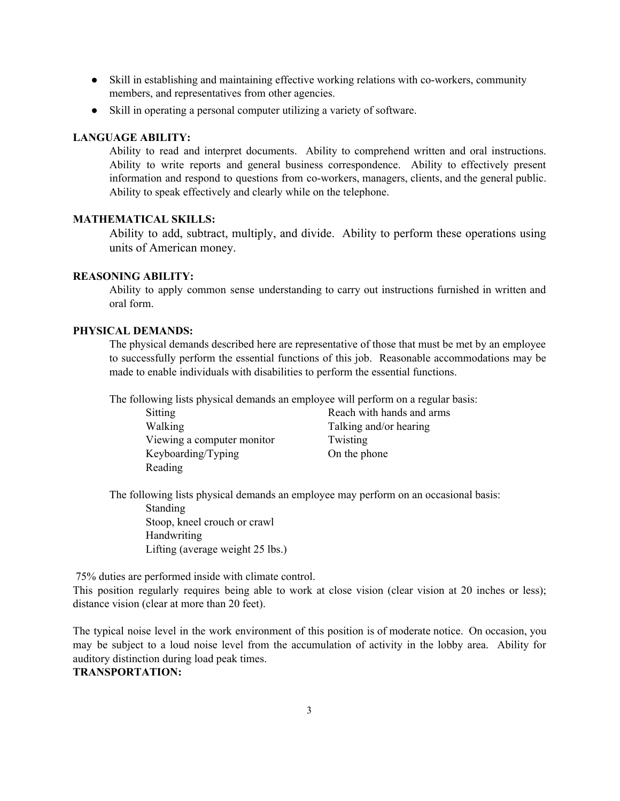- Skill in establishing and maintaining effective working relations with co-workers, community members, and representatives from other agencies.
- Skill in operating a personal computer utilizing a variety of software.

#### **LANGUAGE ABILITY:**

Ability to read and interpret documents. Ability to comprehend written and oral instructions. Ability to write reports and general business correspondence. Ability to effectively present information and respond to questions from co-workers, managers, clients, and the general public. Ability to speak effectively and clearly while on the telephone.

## **MATHEMATICAL SKILLS:**

Ability to add, subtract, multiply, and divide. Ability to perform these operations using units of American money.

## **REASONING ABILITY:**

Ability to apply common sense understanding to carry out instructions furnished in written and oral form.

## **PHYSICAL DEMANDS:**

The physical demands described here are representative of those that must be met by an employee to successfully perform the essential functions of this job. Reasonable accommodations may be made to enable individuals with disabilities to perform the essential functions.

The following lists physical demands an employee will perform on a regular basis:

| Sitting                    | Reach with hands and arms |
|----------------------------|---------------------------|
| Walking                    | Talking and/or hearing    |
| Viewing a computer monitor | Twisting                  |
| Keyboarding/Typing         | On the phone              |
| Reading                    |                           |

The following lists physical demands an employee may perform on an occasional basis:

Standing Stoop, kneel crouch or crawl Handwriting Lifting (average weight 25 lbs.)

75% duties are performed inside with climate control.

This position regularly requires being able to work at close vision (clear vision at 20 inches or less); distance vision (clear at more than 20 feet).

The typical noise level in the work environment of this position is of moderate notice. On occasion, you may be subject to a loud noise level from the accumulation of activity in the lobby area. Ability for auditory distinction during load peak times. **TRANSPORTATION:**

#### 3